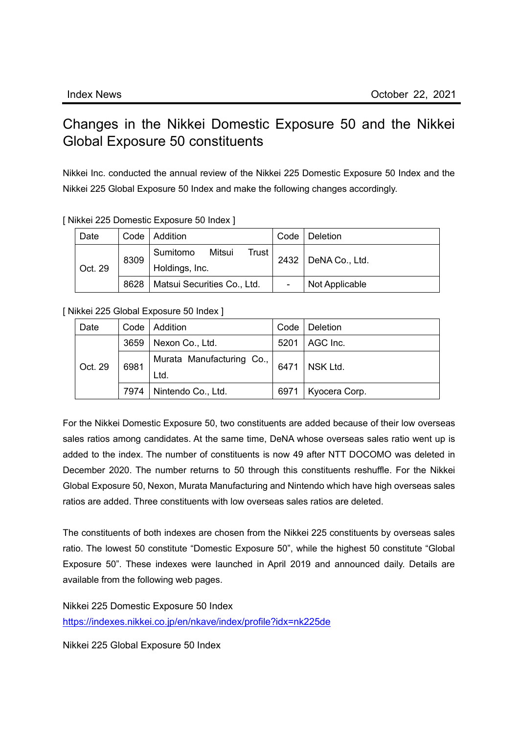## Changes in the Nikkei Domestic Exposure 50 and the Nikkei Global Exposure 50 constituents

Nikkei Inc. conducted the annual review of the Nikkei 225 Domestic Exposure 50 Index and the Nikkei 225 Global Exposure 50 Index and make the following changes accordingly.

| Date    |      | Code   Addition                               | Code | <b>Deletion</b>       |
|---------|------|-----------------------------------------------|------|-----------------------|
| Oct. 29 | 8309 | Sumitomo<br>Mitsui<br>Trust<br>Holdings, Inc. |      | 2432   DeNA Co., Ltd. |
|         | 8628 | Matsui Securities Co., Ltd.                   |      | Not Applicable        |

## [ Nikkei 225 Domestic Exposure 50 Index ]

## [ Nikkei 225 Global Exposure 50 Index ]

| Date    |      | Code   Addition                   |      | Code   Deletion |
|---------|------|-----------------------------------|------|-----------------|
| Oct. 29 | 3659 | Nexon Co., Ltd.                   | 5201 | AGC Inc.        |
|         | 6981 | Murata Manufacturing Co.,<br>Ltd. | 6471 | NSK Ltd.        |
|         | 7974 | Nintendo Co., Ltd.                | 6971 | Kyocera Corp.   |

For the Nikkei Domestic Exposure 50, two constituents are added because of their low overseas sales ratios among candidates. At the same time, DeNA whose overseas sales ratio went up is added to the index. The number of constituents is now 49 after NTT DOCOMO was deleted in December 2020. The number returns to 50 through this constituents reshuffle. For the Nikkei Global Exposure 50, Nexon, Murata Manufacturing and Nintendo which have high overseas sales ratios are added. Three constituents with low overseas sales ratios are deleted.

The constituents of both indexes are chosen from the Nikkei 225 constituents by overseas sales ratio. The lowest 50 constitute "Domestic Exposure 50", while the highest 50 constitute "Global Exposure 50". These indexes were launched in April 2019 and announced daily. Details are available from the following web pages.

Nikkei 225 Domestic Exposure 50 Index <https://indexes.nikkei.co.jp/en/nkave/index/profile?idx=nk225de>

Nikkei 225 Global Exposure 50 Index